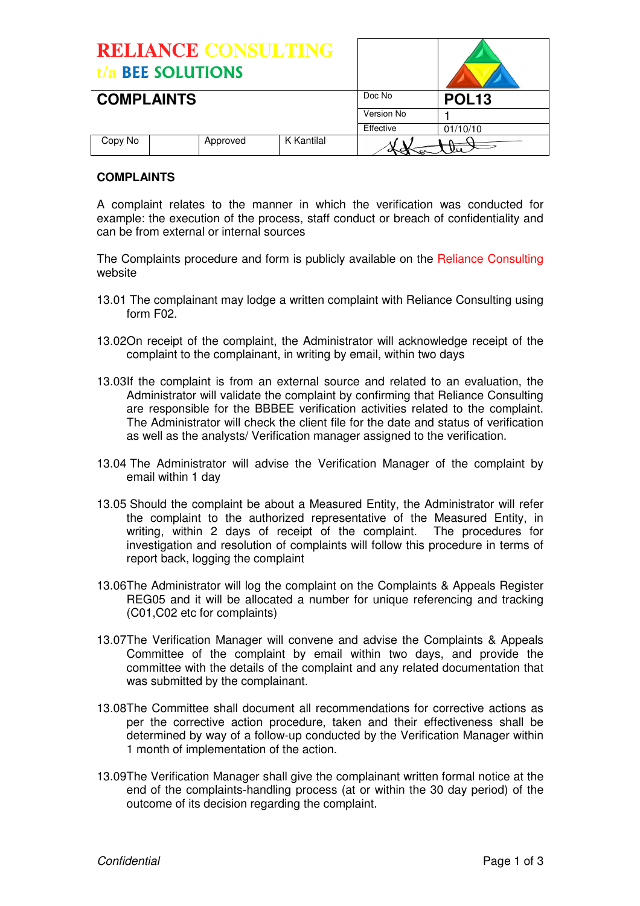| <b>RELIANCE CONSULTING</b><br>t/a BEE SOLUTIONS |          |            |              |          |
|-------------------------------------------------|----------|------------|--------------|----------|
| <b>COMPLAINTS</b>                               |          | Doc No     | <b>POL13</b> |          |
|                                                 |          |            | Version No   |          |
|                                                 |          |            | Effective    | 01/10/10 |
| Copy No                                         | Approved | K Kantilal |              |          |

## **COMPLAINTS**

A complaint relates to the manner in which the verification was conducted for example: the execution of the process, staff conduct or breach of confidentiality and can be from external or internal sources

The Complaints procedure and form is publicly available on the Reliance Consulting website

- 13.01 The complainant may lodge a written complaint with Reliance Consulting using form F02.
- 13.02 On receipt of the complaint, the Administrator will acknowledge receipt of the complaint to the complainant, in writing by email, within two days
- 13.03If the complaint is from an external source and related to an evaluation, the Administrator will validate the complaint by confirming that Reliance Consulting are responsible for the BBBEE verification activities related to the complaint. The Administrator will check the client file for the date and status of verification as well as the analysts/ Verification manager assigned to the verification.
- 13.04 The Administrator will advise the Verification Manager of the complaint by email within 1 day
- 13.05 Should the complaint be about a Measured Entity, the Administrator will refer the complaint to the authorized representative of the Measured Entity, in writing, within 2 days of receipt of the complaint. The procedures for investigation and resolution of complaints will follow this procedure in terms of report back, logging the complaint
- 13.06 The Administrator will log the complaint on the Complaints & Appeals Register REG05 and it will be allocated a number for unique referencing and tracking (C01,C02 etc for complaints)
- 13.07 The Verification Manager will convene and advise the Complaints & Appeals Committee of the complaint by email within two days, and provide the committee with the details of the complaint and any related documentation that was submitted by the complainant.
- 13.08 The Committee shall document all recommendations for corrective actions as per the corrective action procedure, taken and their effectiveness shall be determined by way of a follow-up conducted by the Verification Manager within 1 month of implementation of the action.
- 13.09 The Verification Manager shall give the complainant written formal notice at the end of the complaints-handling process (at or within the 30 day period) of the outcome of its decision regarding the complaint.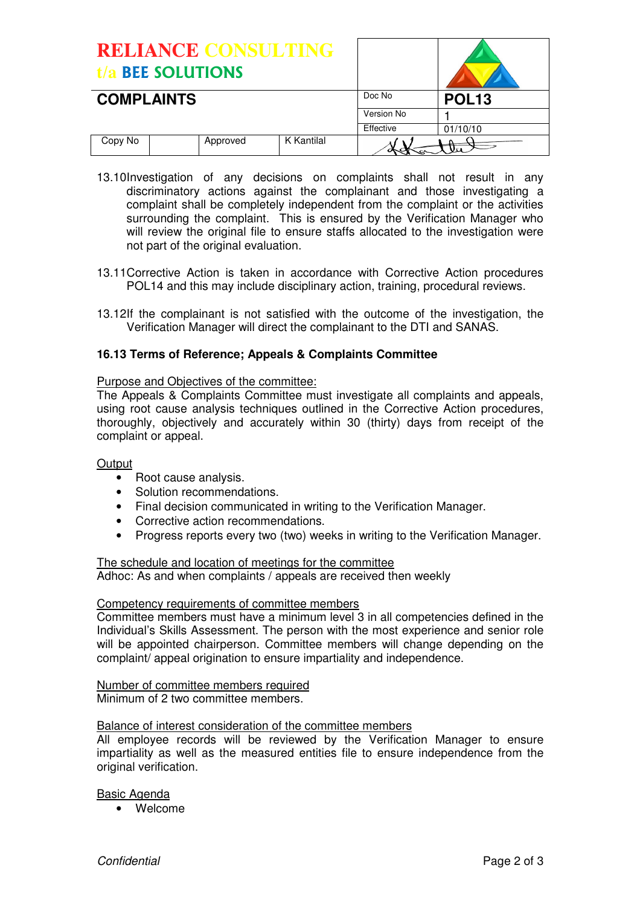| <b>RELIANCE CONSULTING</b><br>t/a BEE SOLUTIONS |          |            |              |          |
|-------------------------------------------------|----------|------------|--------------|----------|
| <b>COMPLAINTS</b>                               |          | Doc No     | <b>POL13</b> |          |
|                                                 |          |            | Version No   |          |
|                                                 |          |            | Effective    | 01/10/10 |
| Copy No                                         | Approved | K Kantilal |              |          |

- 13.10 Investigation of any decisions on complaints shall not result in any discriminatory actions against the complainant and those investigating a complaint shall be completely independent from the complaint or the activities surrounding the complaint. This is ensured by the Verification Manager who will review the original file to ensure staffs allocated to the investigation were not part of the original evaluation.
- 13.11 Corrective Action is taken in accordance with Corrective Action procedures POL14 and this may include disciplinary action, training, procedural reviews.
- 13.12 If the complainant is not satisfied with the outcome of the investigation, the Verification Manager will direct the complainant to the DTI and SANAS.

### **16.13 Terms of Reference; Appeals & Complaints Committee**

#### Purpose and Objectives of the committee:

The Appeals & Complaints Committee must investigate all complaints and appeals, using root cause analysis techniques outlined in the Corrective Action procedures, thoroughly, objectively and accurately within 30 (thirty) days from receipt of the complaint or appeal.

#### **Output**

- Root cause analysis.
- Solution recommendations.
- Final decision communicated in writing to the Verification Manager.
- Corrective action recommendations.
- Progress reports every two (two) weeks in writing to the Verification Manager.

The schedule and location of meetings for the committee Adhoc: As and when complaints / appeals are received then weekly

#### Competency requirements of committee members

Committee members must have a minimum level 3 in all competencies defined in the Individual's Skills Assessment. The person with the most experience and senior role will be appointed chairperson. Committee members will change depending on the complaint/ appeal origination to ensure impartiality and independence.

Number of committee members required Minimum of 2 two committee members.

#### Balance of interest consideration of the committee members

All employee records will be reviewed by the Verification Manager to ensure impartiality as well as the measured entities file to ensure independence from the original verification.

#### Basic Agenda

• Welcome